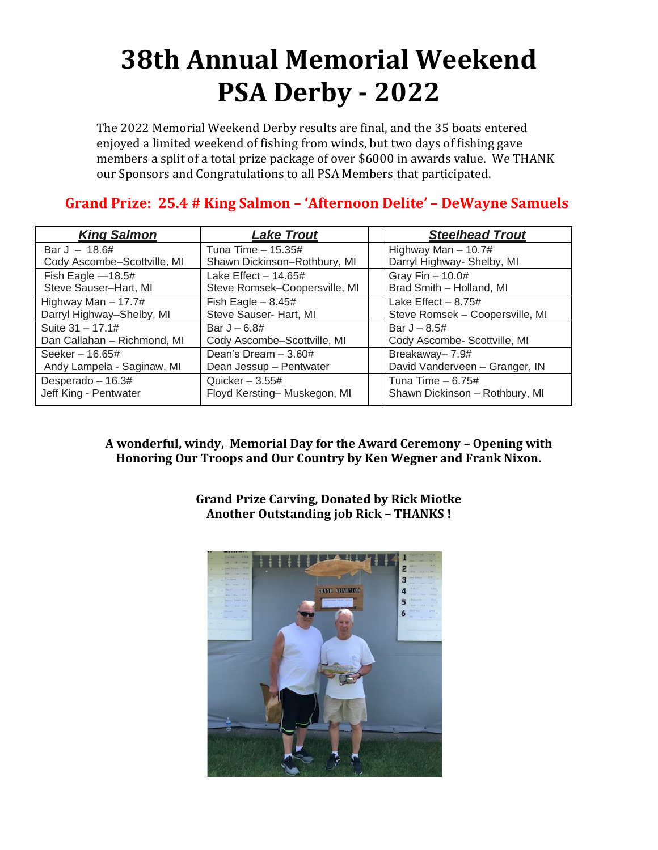## **38th Annual Memorial Weekend PSA Derby - 2022**

The 2022 Memorial Weekend Derby results are final, and the 35 boats entered enjoyed a limited weekend of fishing from winds, but two days of fishing gave members a split of a total prize package of over \$6000 in awards value. We THANK our Sponsors and Congratulations to all PSA Members that participated.

## **Grand Prize: 25.4 # King Salmon – 'Afternoon Delite' – DeWayne Samuels**

| <b>King Salmon</b>          | <b>Lake Trout</b>             | <b>Steelhead Trout</b>          |
|-----------------------------|-------------------------------|---------------------------------|
| Bar J $- 18.6#$             | Tuna Time $-15.35#$           | Highway Man $- 10.7#$           |
| Cody Ascombe-Scottville, MI | Shawn Dickinson-Rothbury, MI  | Darryl Highway- Shelby, MI      |
| Fish Eagle $-18.5#$         | Lake Effect $-14.65#$         | Gray Fin $-10.0#$               |
| Steve Sauser-Hart, MI       | Steve Romsek-Coopersville, MI | Brad Smith - Holland, MI        |
| Highway Man $-17.7#$        | Fish Eagle $-8.45#$           | Lake Effect $-8.75#$            |
| Darryl Highway-Shelby, MI   | Steve Sauser- Hart, MI        | Steve Romsek - Coopersville, MI |
| Suite 31 - 17.1#            | Bar $J - 6.8#$                | Bar $J - 8.5#$                  |
| Dan Callahan - Richmond, MI | Cody Ascombe-Scottville, MI   | Cody Ascombe- Scottville, MI    |
| Seeker $-16.65#$            | Dean's Dream - 3.60#          | Breakaway- 7.9#                 |
| Andy Lampela - Saginaw, MI  | Dean Jessup - Pentwater       | David Vanderveen - Granger, IN  |
| Desperado - 16.3#           | Quicker $-3.55#$              | Tuna Time $-6.75#$              |
| Jeff King - Pentwater       | Floyd Kersting-Muskegon, MI   | Shawn Dickinson - Rothbury, MI  |

**A wonderful, windy, Memorial Day for the Award Ceremony – Opening with Honoring Our Troops and Our Country by Ken Wegner and Frank Nixon.**

> **Grand Prize Carving, Donated by Rick Miotke Another Outstanding job Rick – THANKS !**

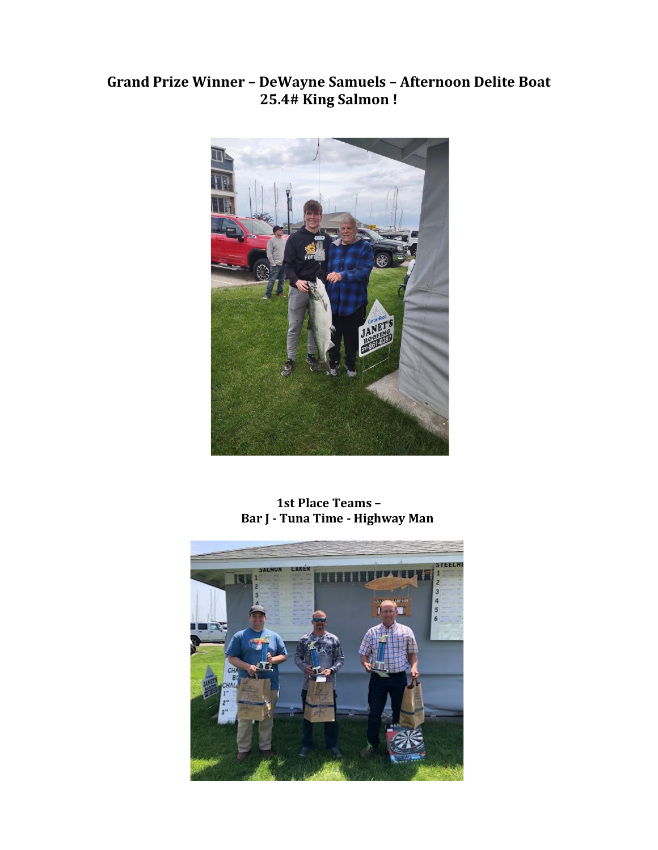## **Grand Prize Winner – DeWayne Samuels – Afternoon Delite Boat 25.4# King Salmon !**



**1st Place Teams – Bar J - Tuna Time - Highway Man** 

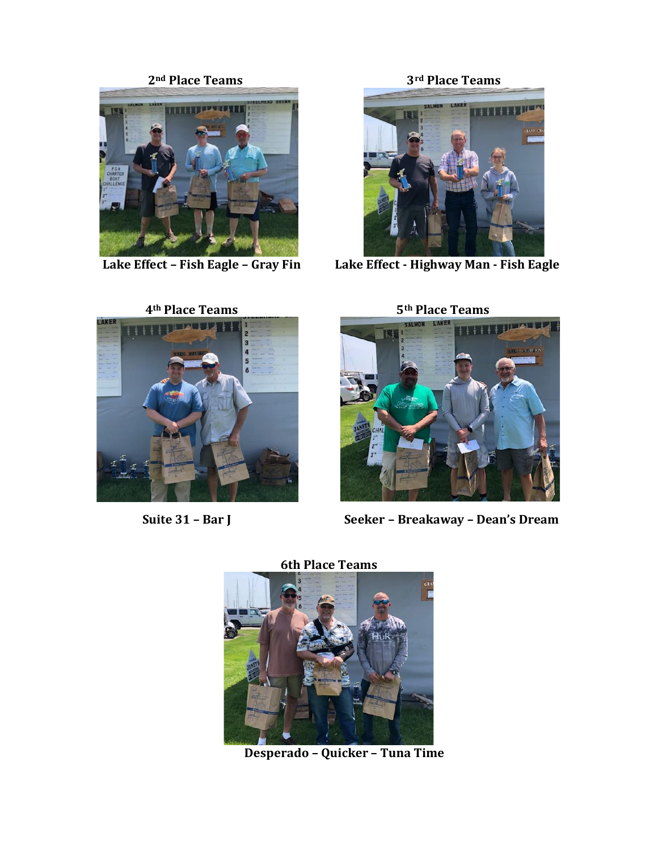

Lake Effect - Fish Eagle - Gray Fin

 **2nd Place Teams 3rd Place Teams**



 **Lake Effect – Fish Eagle – Gray Fin Lake Effect - Highway Man - Fish Eagle** 









 **Suite 31 – Bar J Seeker – Breakaway – Dean's Dream**

**6th Place Teams**



 **Desperado – Quicker – Tuna Time**